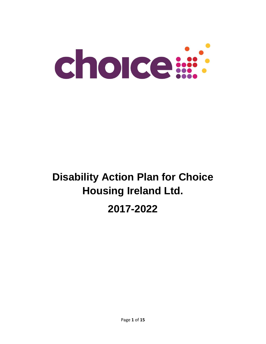

# **Disability Action Plan for Choice Housing Ireland Ltd.**

## **2017-2022**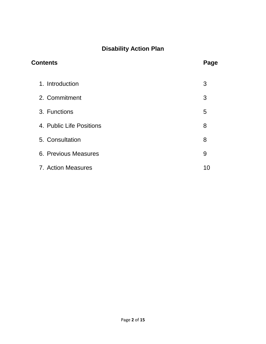## **Disability Action Plan**

| <b>Contents</b>          | Page |
|--------------------------|------|
| 1. Introduction          | 3    |
| 2. Commitment            | 3    |
| 3. Functions             | 5    |
| 4. Public Life Positions | 8    |
| 5. Consultation          | 8    |
| 6. Previous Measures     | 9    |
| 7. Action Measures       | 10   |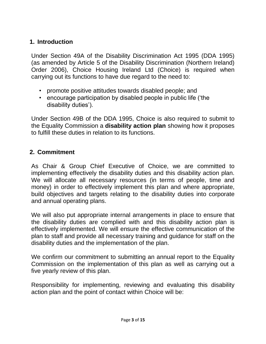#### **1. Introduction**

Under Section 49A of the Disability Discrimination Act 1995 (DDA 1995) (as amended by Article 5 of the Disability Discrimination (Northern Ireland) Order 2006), Choice Housing Ireland Ltd (Choice) is required when carrying out its functions to have due regard to the need to:

- promote positive attitudes towards disabled people; and
- encourage participation by disabled people in public life ('the disability duties').

Under Section 49B of the DDA 1995, Choice is also required to submit to the Equality Commission a **disability action plan** showing how it proposes to fulfill these duties in relation to its functions.

#### **2. Commitment**

As Chair & Group Chief Executive of Choice, we are committed to implementing effectively the disability duties and this disability action plan. We will allocate all necessary resources (in terms of people, time and money) in order to effectively implement this plan and where appropriate, build objectives and targets relating to the disability duties into corporate and annual operating plans.

We will also put appropriate internal arrangements in place to ensure that the disability duties are complied with and this disability action plan is effectively implemented. We will ensure the effective communication of the plan to staff and provide all necessary training and guidance for staff on the disability duties and the implementation of the plan.

We confirm our commitment to submitting an annual report to the Equality Commission on the implementation of this plan as well as carrying out a five yearly review of this plan.

Responsibility for implementing, reviewing and evaluating this disability action plan and the point of contact within Choice will be: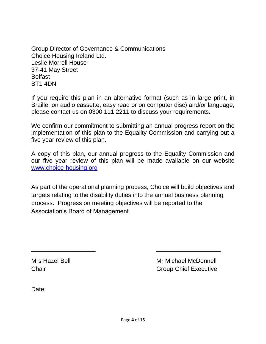Group Director of Governance & Communications Choice Housing Ireland Ltd. Leslie Morrell House 37-41 May Street Belfast BT1 4DN

If you require this plan in an alternative format (such as in large print, in Braille, on audio cassette, easy read or on computer disc) and/or language, please contact us on 0300 111 2211 to discuss your requirements.

We confirm our commitment to submitting an annual progress report on the implementation of this plan to the Equality Commission and carrying out a five year review of this plan.

A copy of this plan, our annual progress to the Equality Commission and our five year review of this plan will be made available on our website [www.choice-housing.org](http://www.choice-housing.org/)

As part of the operational planning process, Choice will build objectives and targets relating to the disability duties into the annual business planning process. Progress on meeting objectives will be reported to the Association's Board of Management.

\_\_\_\_\_\_\_\_\_\_\_\_\_\_\_\_\_\_\_ \_\_\_\_\_\_\_\_\_\_\_\_\_\_\_\_\_\_\_

Mrs Hazel Bell **Mrs** Mr Michael McDonnell **Chair** Chair Group Chief Executive

Date: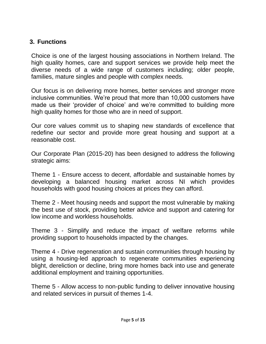#### **3. Functions**

Choice is one of the largest housing associations in Northern Ireland. The high quality homes, care and support services we provide help meet the diverse needs of a wide range of customers including; older people, families, mature singles and people with complex needs.

Our focus is on delivering more homes, better services and stronger more inclusive communities. We're proud that more than 10,000 customers have made us their 'provider of choice' and we're committed to building more high quality homes for those who are in need of support.

Our core values commit us to shaping new standards of excellence that redefine our sector and provide more great housing and support at a reasonable cost.

Our Corporate Plan (2015-20) has been designed to address the following strategic aims:

Theme 1 - Ensure access to decent, affordable and sustainable homes by developing a balanced housing market across NI which provides households with good housing choices at prices they can afford.

Theme 2 - Meet housing needs and support the most vulnerable by making the best use of stock, providing better advice and support and catering for low income and workless households.

Theme 3 - Simplify and reduce the impact of welfare reforms while providing support to households impacted by the changes.

Theme 4 - Drive regeneration and sustain communities through housing by using a housing-led approach to regenerate communities experiencing blight, dereliction or decline, bring more homes back into use and generate additional employment and training opportunities.

Theme 5 - Allow access to non-public funding to deliver innovative housing and related services in pursuit of themes 1-4.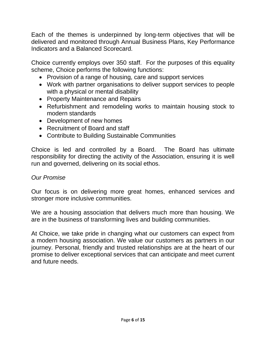Each of the themes is underpinned by long-term objectives that will be delivered and monitored through Annual Business Plans, Key Performance Indicators and a Balanced Scorecard.

Choice currently employs over 350 staff. For the purposes of this equality scheme, Choice performs the following functions:

- Provision of a range of housing, care and support services
- Work with partner organisations to deliver support services to people with a physical or mental disability
- Property Maintenance and Repairs
- Refurbishment and remodeling works to maintain housing stock to modern standards
- Development of new homes
- Recruitment of Board and staff
- Contribute to Building Sustainable Communities

Choice is led and controlled by a Board. The Board has ultimate responsibility for directing the activity of the Association, ensuring it is well run and governed, delivering on its social ethos.

#### *Our Promise*

Our focus is on delivering more great homes, enhanced services and stronger more inclusive communities.

We are a housing association that delivers much more than housing. We are in the business of transforming lives and building communities.

At Choice, we take pride in changing what our customers can expect from a modern housing association. We value our customers as partners in our journey. Personal, friendly and trusted relationships are at the heart of our promise to deliver exceptional services that can anticipate and meet current and future needs.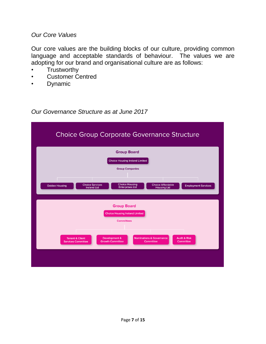#### *Our Core Values*

Our core values are the building blocks of our culture, providing common language and acceptable standards of behaviour. The values we are adopting for our brand and organisational culture are as follows:

- **Trustworthy**
- Customer Centred
- **Dynamic**

*Our Governance Structure as at June 2017*

| <b>Choice Group Corporate Governance Structure</b>                                                                                                                                                                                                                                                    |  |  |  |  |
|-------------------------------------------------------------------------------------------------------------------------------------------------------------------------------------------------------------------------------------------------------------------------------------------------------|--|--|--|--|
| <b>Group Board</b><br><b>Choice Housing Ireland Limited</b><br><b>Group Companies</b><br><b>Choice Housing</b><br><b>Choice Services</b><br><b>Choice Affordable</b><br><b>Oaklee Housing</b><br><b>Employment Services</b><br><b>Enterprises Ltd</b><br><b>Ireland Ltd</b><br><b>Housing Ltd</b>     |  |  |  |  |
| <b>Group Board</b><br><b>Choice Housing Ireland Limited</b><br><b>Committees</b><br><b>Development &amp;</b><br><b>Nominations &amp; Governance</b><br><b>Audit &amp; Risk</b><br><b>Tenant &amp; Client</b><br><b>Growth Committee</b><br>Committee<br><b>Committee</b><br><b>Services Committee</b> |  |  |  |  |
|                                                                                                                                                                                                                                                                                                       |  |  |  |  |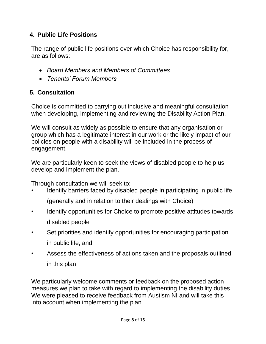#### **4. Public Life Positions**

The range of public life positions over which Choice has responsibility for, are as follows:

- *Board Members and Members of Committees*
- *Tenants' Forum Members*

#### **5. Consultation**

Choice is committed to carrying out inclusive and meaningful consultation when developing, implementing and reviewing the Disability Action Plan.

We will consult as widely as possible to ensure that any organisation or group which has a legitimate interest in our work or the likely impact of our policies on people with a disability will be included in the process of engagement.

We are particularly keen to seek the views of disabled people to help us develop and implement the plan.

Through consultation we will seek to:

- Identify barriers faced by disabled people in participating in public life (generally and in relation to their dealings with Choice)
- Identify opportunities for Choice to promote positive attitudes towards disabled people
- Set priorities and identify opportunities for encouraging participation in public life, and
- Assess the effectiveness of actions taken and the proposals outlined in this plan

We particularly welcome comments or feedback on the proposed action measures we plan to take with regard to implementing the disability duties. We were pleased to receive feedback from Austism NI and will take this into account when implementing the plan.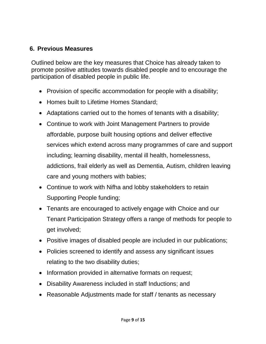#### **6. Previous Measures**

Outlined below are the key measures that Choice has already taken to promote positive attitudes towards disabled people and to encourage the participation of disabled people in public life.

- Provision of specific accommodation for people with a disability;
- Homes built to Lifetime Homes Standard;
- Adaptations carried out to the homes of tenants with a disability;
- Continue to work with Joint Management Partners to provide affordable, purpose built housing options and deliver effective services which extend across many programmes of care and support including; learning disability, mental ill health, homelessness, addictions, frail elderly as well as Dementia, Autism, children leaving care and young mothers with babies;
- Continue to work with Nifha and lobby stakeholders to retain Supporting People funding;
- Tenants are encouraged to actively engage with Choice and our Tenant Participation Strategy offers a range of methods for people to get involved;
- Positive images of disabled people are included in our publications;
- Policies screened to identify and assess any significant issues relating to the two disability duties;
- Information provided in alternative formats on request;
- Disability Awareness included in staff Inductions; and
- Reasonable Adjustments made for staff / tenants as necessary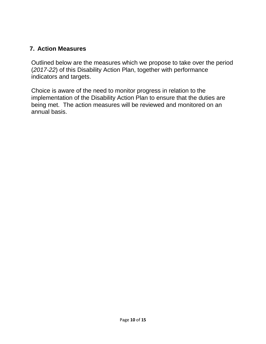#### **7. Action Measures**

Outlined below are the measures which we propose to take over the period (*2017-22*) of this Disability Action Plan, together with performance indicators and targets.

Choice is aware of the need to monitor progress in relation to the implementation of the Disability Action Plan to ensure that the duties are being met. The action measures will be reviewed and monitored on an annual basis.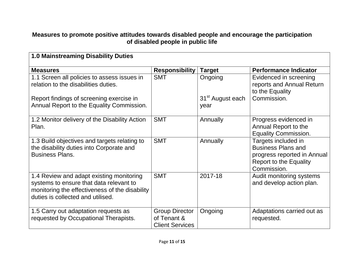#### **Measures to promote positive attitudes towards disabled people and encourage the participation of disabled people in public life**

| <b>1.0 Mainstreaming Disability Duties</b>                                                                                                                                 |                                                                |                                      |                                                                                                                                 |
|----------------------------------------------------------------------------------------------------------------------------------------------------------------------------|----------------------------------------------------------------|--------------------------------------|---------------------------------------------------------------------------------------------------------------------------------|
| <b>Measures</b>                                                                                                                                                            | <b>Responsibility</b>                                          | <b>Target</b>                        | <b>Performance Indicator</b>                                                                                                    |
| 1.1 Screen all policies to assess issues in<br>relation to the disabilities duties.                                                                                        | <b>SMT</b>                                                     | Ongoing                              | Evidenced in screening<br>reports and Annual Return<br>to the Equality                                                          |
| Report findings of screening exercise in<br>Annual Report to the Equality Commission.                                                                                      |                                                                | 31 <sup>st</sup> August each<br>year | Commission.                                                                                                                     |
| 1.2 Monitor delivery of the Disability Action<br>Plan.                                                                                                                     | <b>SMT</b>                                                     | Annually                             | Progress evidenced in<br>Annual Report to the<br><b>Equality Commission.</b>                                                    |
| 1.3 Build objectives and targets relating to<br>the disability duties into Corporate and<br><b>Business Plans.</b>                                                         | <b>SMT</b>                                                     | Annually                             | Targets included in<br><b>Business Plans and</b><br>progress reported in Annual<br><b>Report to the Equality</b><br>Commission. |
| 1.4 Review and adapt existing monitoring<br>systems to ensure that data relevant to<br>monitoring the effectiveness of the disability<br>duties is collected and utilised. | <b>SMT</b>                                                     | 2017-18                              | Audit monitoring systems<br>and develop action plan.                                                                            |
| 1.5 Carry out adaptation requests as<br>requested by Occupational Therapists.                                                                                              | <b>Group Director</b><br>of Tenant &<br><b>Client Services</b> | Ongoing                              | Adaptations carried out as<br>requested.                                                                                        |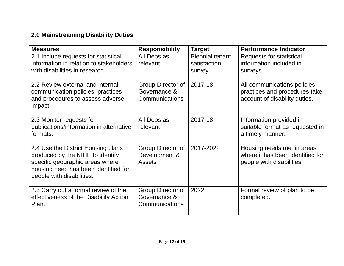| <b>2.0 Mainstreaming Disability Duties</b>                                                                                                                                     |                                                     |                                                  |                                                                                                |
|--------------------------------------------------------------------------------------------------------------------------------------------------------------------------------|-----------------------------------------------------|--------------------------------------------------|------------------------------------------------------------------------------------------------|
| <b>Measures</b>                                                                                                                                                                | <b>Responsibility</b>                               | <b>Target</b>                                    | <b>Performance Indicator</b>                                                                   |
| 2.1 Include requests for statistical<br>information in relation to stakeholders<br>with disabilities in research.                                                              | All Deps as<br>relevant                             | <b>Biennial tenant</b><br>satisfaction<br>survey | Requests for statistical<br>information included in<br>surveys.                                |
| 2.2 Review external and internal<br>communication policies, practices<br>and procedures to assess adverse<br>impact.                                                           | Group Director of<br>Governance &<br>Communications | 2017-18                                          | All communications policies,<br>practices and procedures take<br>account of disability duties. |
| 2.3 Monitor requests for<br>publications/information in alternative<br>formats.                                                                                                | All Deps as<br>relevant                             | 2017-18                                          | Information provided in<br>suitable format as requested in<br>a timely manner.                 |
| 2.4 Use the District Housing plans<br>produced by the NIHE to identify<br>specific geographic areas where<br>housing need has been identified for<br>people with disabilities. | Group Director of<br>Development &<br>Assets        | 2017-2022                                        | Housing needs met in areas<br>where it has been identified for<br>people with disabilities.    |
| 2.5 Carry out a formal review of the<br>effectiveness of the Disability Action<br>Plan.                                                                                        | Group Director of<br>Governance &<br>Communications | 2022                                             | Formal review of plan to be<br>completed.                                                      |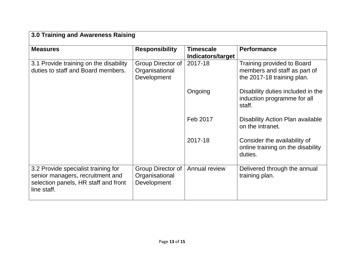| 3.0 Training and Awareness Raising                                                                                             |                                                    |                                       |                                                                                          |
|--------------------------------------------------------------------------------------------------------------------------------|----------------------------------------------------|---------------------------------------|------------------------------------------------------------------------------------------|
| <b>Measures</b>                                                                                                                | <b>Responsibility</b>                              | <b>Timescale</b><br>Indicators/target | <b>Performance</b>                                                                       |
| 3.1 Provide training on the disability<br>duties to staff and Board members.                                                   | Group Director of<br>Organisational<br>Development | 2017-18                               | Training provided to Board<br>members and staff as part of<br>the 2017-18 training plan. |
|                                                                                                                                |                                                    | Ongoing                               | Disability duties included in the<br>induction programme for all<br>staff.               |
|                                                                                                                                |                                                    | Feb 2017                              | <b>Disability Action Plan available</b><br>on the intranet.                              |
|                                                                                                                                |                                                    | 2017-18                               | Consider the availability of<br>online training on the disability<br>duties.             |
| 3.2 Provide specialist training for<br>senior managers, recruitment and<br>selection panels, HR staff and front<br>line staff. | Group Director of<br>Organisational<br>Development | Annual review                         | Delivered through the annual<br>training plan.                                           |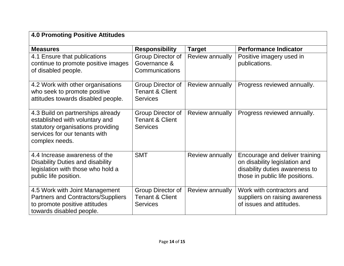## **4.0 Promoting Positive Attitudes**

| <b>Measures</b>                                                                                                                                             | <b>Responsibility</b>                                              | <b>Target</b>   | <b>Performance Indicator</b>                                                                                                         |
|-------------------------------------------------------------------------------------------------------------------------------------------------------------|--------------------------------------------------------------------|-----------------|--------------------------------------------------------------------------------------------------------------------------------------|
| 4.1 Ensure that publications<br>continue to promote positive images<br>of disabled people.                                                                  | Group Director of<br>Governance &<br>Communications                | Review annually | Positive imagery used in<br>publications.                                                                                            |
| 4.2 Work with other organisations<br>who seek to promote positive<br>attitudes towards disabled people.                                                     | Group Director of<br><b>Tenant &amp; Client</b><br><b>Services</b> | Review annually | Progress reviewed annually.                                                                                                          |
| 4.3 Build on partnerships already<br>established with voluntary and<br>statutory organisations providing<br>services for our tenants with<br>complex needs. | Group Director of<br><b>Tenant &amp; Client</b><br>Services        | Review annually | Progress reviewed annually.                                                                                                          |
| 4.4 Increase awareness of the<br><b>Disability Duties and disability</b><br>legislation with those who hold a<br>public life position.                      | <b>SMT</b>                                                         | Review annually | Encourage and deliver training<br>on disability legislation and<br>disability duties awareness to<br>those in public life positions. |
| 4.5 Work with Joint Management<br><b>Partners and Contractors/Suppliers</b><br>to promote positive attitudes<br>towards disabled people.                    | Group Director of<br><b>Tenant &amp; Client</b><br>Services        | Review annually | Work with contractors and<br>suppliers on raising awareness<br>of issues and attitudes.                                              |